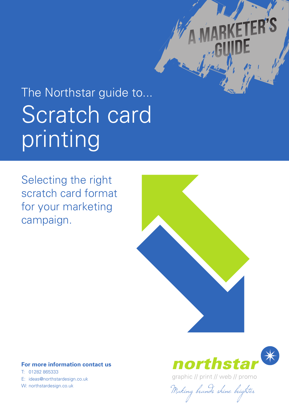# Scratch card printing The Northstar guide to...

Selecting the right scratch card format for your marketing campaign.



## **For more information contact us**

T: 01282 865333 E: ideas@northstardesign.co.uk



**FR'S** 

graphic // print // web // promo

W: northstardesign.co.uk<br>Making brands shine brighter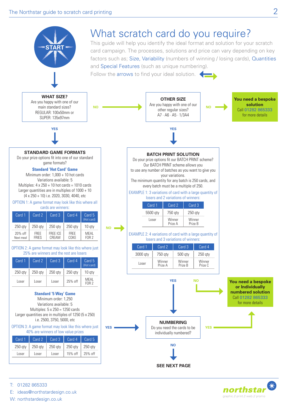

northstar graphic // print // web // promo

E: ideas@northstardesign.co.uk

T: 01282 865333

W: northstardesign.co.uk